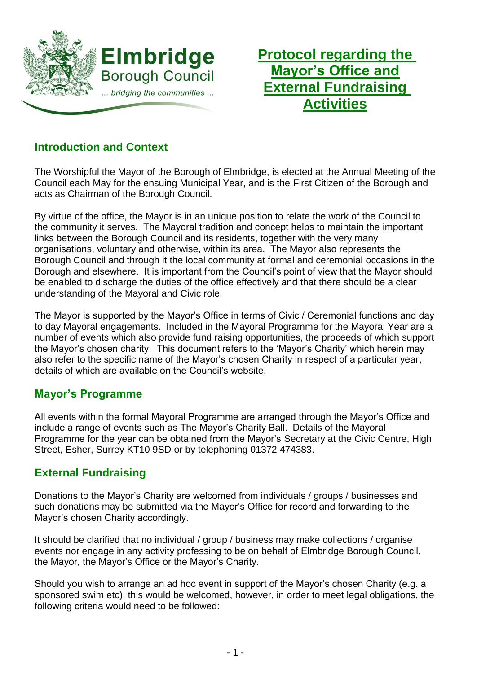

**Protocol regarding the Mayor's Office and External Fundraising Activities**

# **Introduction and Context**

The Worshipful the Mayor of the Borough of Elmbridge, is elected at the Annual Meeting of the Council each May for the ensuing Municipal Year, and is the First Citizen of the Borough and acts as Chairman of the Borough Council.

By virtue of the office, the Mayor is in an unique position to relate the work of the Council to the community it serves. The Mayoral tradition and concept helps to maintain the important links between the Borough Council and its residents, together with the very many organisations, voluntary and otherwise, within its area. The Mayor also represents the Borough Council and through it the local community at formal and ceremonial occasions in the Borough and elsewhere. It is important from the Council's point of view that the Mayor should be enabled to discharge the duties of the office effectively and that there should be a clear understanding of the Mayoral and Civic role.

The Mayor is supported by the Mayor's Office in terms of Civic / Ceremonial functions and day to day Mayoral engagements. Included in the Mayoral Programme for the Mayoral Year are a number of events which also provide fund raising opportunities, the proceeds of which support the Mayor's chosen charity. This document refers to the 'Mayor's Charity' which herein may also refer to the specific name of the Mayor's chosen Charity in respect of a particular year, details of which are available on the Council's website.

### **Mayor's Programme**

All events within the formal Mayoral Programme are arranged through the Mayor's Office and include a range of events such as The Mayor's Charity Ball. Details of the Mayoral Programme for the year can be obtained from the Mayor's Secretary at the Civic Centre, High Street, Esher, Surrey KT10 9SD or by telephoning 01372 474383.

# **External Fundraising**

Donations to the Mayor's Charity are welcomed from individuals / groups / businesses and such donations may be submitted via the Mayor's Office for record and forwarding to the Mayor's chosen Charity accordingly.

It should be clarified that no individual / group / business may make collections / organise events nor engage in any activity professing to be on behalf of Elmbridge Borough Council, the Mayor, the Mayor's Office or the Mayor's Charity.

Should you wish to arrange an ad hoc event in support of the Mayor's chosen Charity (e.g. a sponsored swim etc), this would be welcomed, however, in order to meet legal obligations, the following criteria would need to be followed: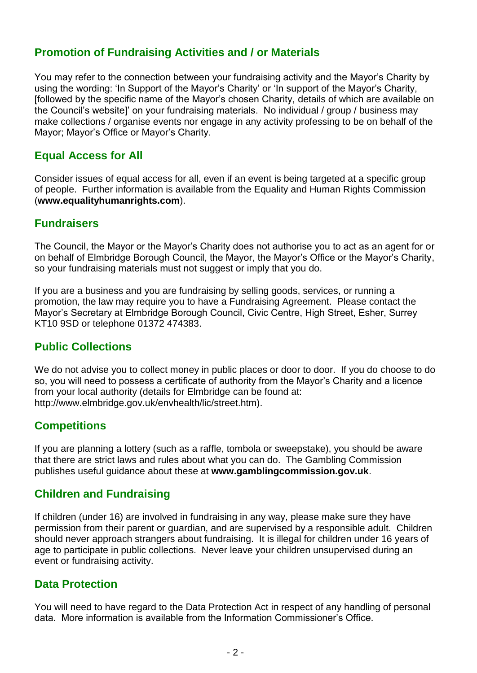## **Promotion of Fundraising Activities and / or Materials**

You may refer to the connection between your fundraising activity and the Mayor's Charity by using the wording: 'In Support of the Mayor's Charity' or 'In support of the Mayor's Charity, [followed by the specific name of the Mayor's chosen Charity, details of which are available on the Council's website]' on your fundraising materials. No individual / group / business may make collections / organise events nor engage in any activity professing to be on behalf of the Mayor; Mayor's Office or Mayor's Charity.

## **Equal Access for All**

Consider issues of equal access for all, even if an event is being targeted at a specific group of people. Further information is available from the Equality and Human Rights Commission (**[www.equalityhumanrights.com](http://www.equalityhumanrights.com/)**).

#### **Fundraisers**

The Council, the Mayor or the Mayor's Charity does not authorise you to act as an agent for or on behalf of Elmbridge Borough Council, the Mayor, the Mayor's Office or the Mayor's Charity, so your fundraising materials must not suggest or imply that you do.

If you are a business and you are fundraising by selling goods, services, or running a promotion, the law may require you to have a Fundraising Agreement. Please contact the Mayor's Secretary at Elmbridge Borough Council, Civic Centre, High Street, Esher, Surrey KT10 9SD or telephone 01372 474383.

### **Public Collections**

We do not advise you to collect money in public places or door to door. If you do choose to do so, you will need to possess a certificate of authority from the Mayor's Charity and a licence from your local authority (details for Elmbridge can be found at: http://www.elmbridge.gov.uk/envhealth/lic/street.htm).

#### **Competitions**

If you are planning a lottery (such as a raffle, tombola or sweepstake), you should be aware that there are strict laws and rules about what you can do. The Gambling Commission publishes useful guidance about these at **[www.gamblingcommission.gov.uk](http://www.gamblingcommission.gov.uk/)**.

### **Children and Fundraising**

If children (under 16) are involved in fundraising in any way, please make sure they have permission from their parent or guardian, and are supervised by a responsible adult. Children should never approach strangers about fundraising. It is illegal for children under 16 years of age to participate in public collections. Never leave your children unsupervised during an event or fundraising activity.

### **Data Protection**

You will need to have regard to the Data Protection Act in respect of any handling of personal data. More information is available from the Information Commissioner's Office.